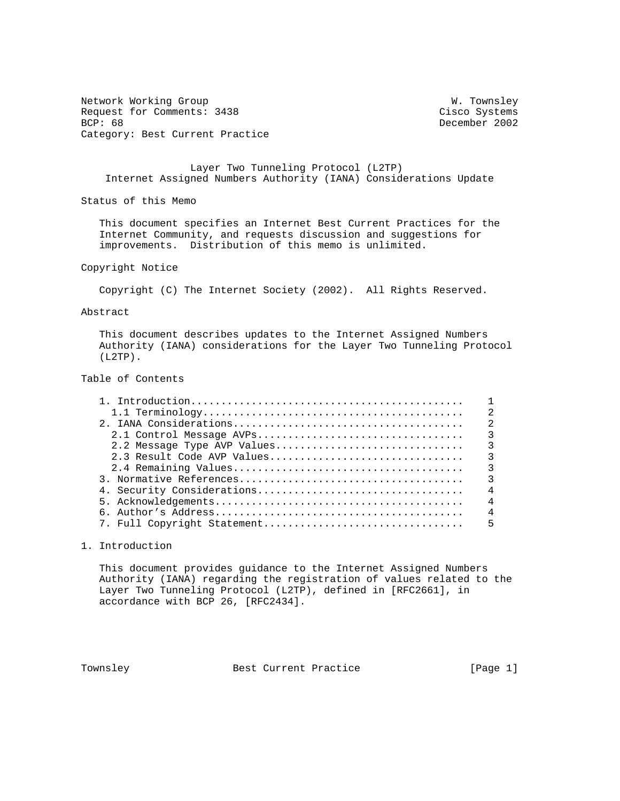Network Working Group Website Communications and Muslim W. Townsley Request for Comments: 3438 Cisco Systems<br>BCP: 68 December 2002 Category: Best Current Practice

December 2002

 Layer Two Tunneling Protocol (L2TP) Internet Assigned Numbers Authority (IANA) Considerations Update

Status of this Memo

 This document specifies an Internet Best Current Practices for the Internet Community, and requests discussion and suggestions for improvements. Distribution of this memo is unlimited.

Copyright Notice

Copyright (C) The Internet Society (2002). All Rights Reserved.

Abstract

 This document describes updates to the Internet Assigned Numbers Authority (IANA) considerations for the Layer Two Tunneling Protocol (L2TP).

Table of Contents

|                             | $\mathcal{L}$  |
|-----------------------------|----------------|
|                             | $\mathcal{L}$  |
| 2.1 Control Message AVPs    | $\mathcal{R}$  |
| 2.2 Message Type AVP Values | $\mathcal{R}$  |
| 2.3 Result Code AVP Values  | $\mathcal{R}$  |
|                             |                |
|                             | $\mathcal{R}$  |
| 4. Security Considerations  | $\overline{4}$ |
|                             | 4              |
|                             | 4              |
|                             | $\overline{5}$ |
|                             |                |

1. Introduction

 This document provides guidance to the Internet Assigned Numbers Authority (IANA) regarding the registration of values related to the Layer Two Tunneling Protocol (L2TP), defined in [RFC2661], in accordance with BCP 26, [RFC2434].

Townsley Best Current Practice [Page 1]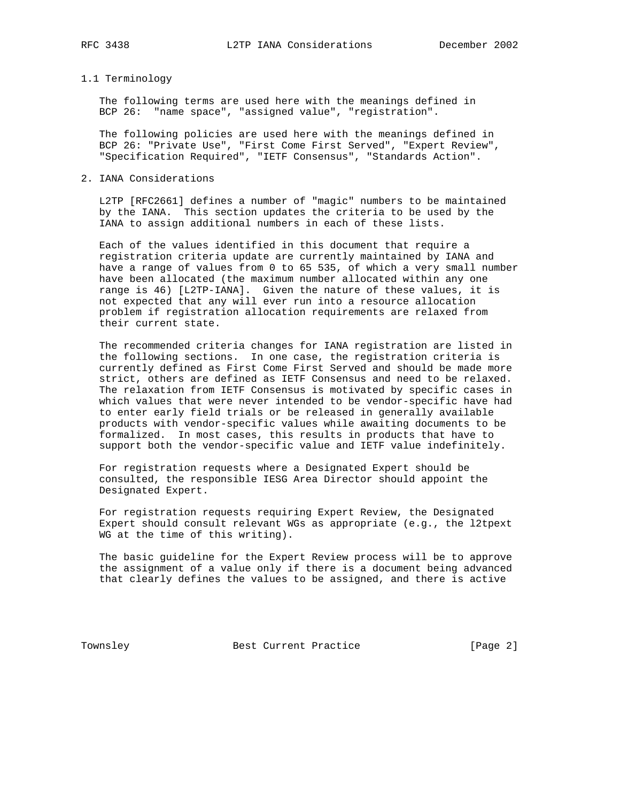## 1.1 Terminology

 The following terms are used here with the meanings defined in BCP 26: "name space", "assigned value", "registration".

 The following policies are used here with the meanings defined in BCP 26: "Private Use", "First Come First Served", "Expert Review", "Specification Required", "IETF Consensus", "Standards Action".

## 2. IANA Considerations

 L2TP [RFC2661] defines a number of "magic" numbers to be maintained by the IANA. This section updates the criteria to be used by the IANA to assign additional numbers in each of these lists.

 Each of the values identified in this document that require a registration criteria update are currently maintained by IANA and have a range of values from 0 to 65 535, of which a very small number have been allocated (the maximum number allocated within any one range is 46) [L2TP-IANA]. Given the nature of these values, it is not expected that any will ever run into a resource allocation problem if registration allocation requirements are relaxed from their current state.

 The recommended criteria changes for IANA registration are listed in the following sections. In one case, the registration criteria is currently defined as First Come First Served and should be made more strict, others are defined as IETF Consensus and need to be relaxed. The relaxation from IETF Consensus is motivated by specific cases in which values that were never intended to be vendor-specific have had to enter early field trials or be released in generally available products with vendor-specific values while awaiting documents to be formalized. In most cases, this results in products that have to support both the vendor-specific value and IETF value indefinitely.

 For registration requests where a Designated Expert should be consulted, the responsible IESG Area Director should appoint the Designated Expert.

 For registration requests requiring Expert Review, the Designated Expert should consult relevant WGs as appropriate (e.g., the l2tpext WG at the time of this writing).

 The basic guideline for the Expert Review process will be to approve the assignment of a value only if there is a document being advanced that clearly defines the values to be assigned, and there is active

Townsley **Best Current Practice** [Page 2]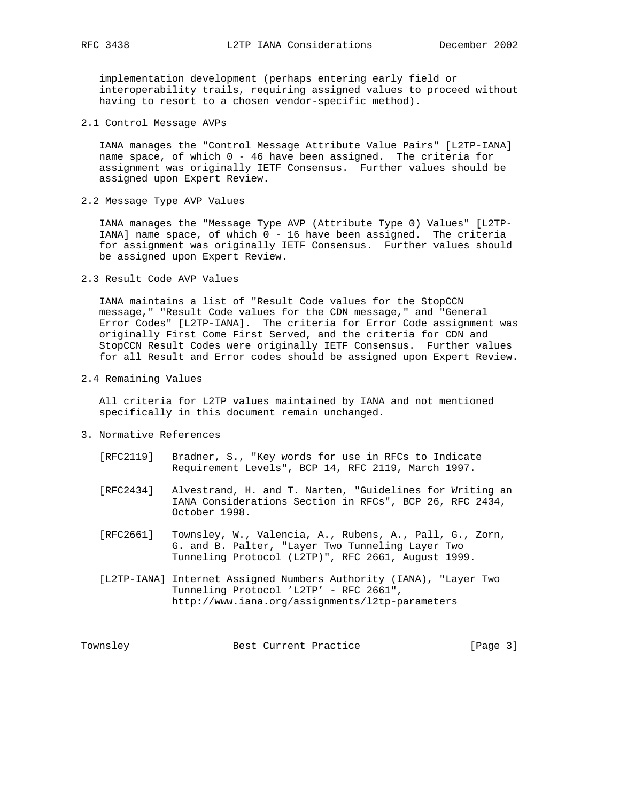implementation development (perhaps entering early field or interoperability trails, requiring assigned values to proceed without having to resort to a chosen vendor-specific method).

2.1 Control Message AVPs

 IANA manages the "Control Message Attribute Value Pairs" [L2TP-IANA] name space, of which 0 - 46 have been assigned. The criteria for assignment was originally IETF Consensus. Further values should be assigned upon Expert Review.

2.2 Message Type AVP Values

 IANA manages the "Message Type AVP (Attribute Type 0) Values" [L2TP- IANA] name space, of which 0 - 16 have been assigned. The criteria for assignment was originally IETF Consensus. Further values should be assigned upon Expert Review.

2.3 Result Code AVP Values

 IANA maintains a list of "Result Code values for the StopCCN message," "Result Code values for the CDN message," and "General Error Codes" [L2TP-IANA]. The criteria for Error Code assignment was originally First Come First Served, and the criteria for CDN and StopCCN Result Codes were originally IETF Consensus. Further values for all Result and Error codes should be assigned upon Expert Review.

2.4 Remaining Values

 All criteria for L2TP values maintained by IANA and not mentioned specifically in this document remain unchanged.

- 3. Normative References
	- [RFC2119] Bradner, S., "Key words for use in RFCs to Indicate Requirement Levels", BCP 14, RFC 2119, March 1997.
	- [RFC2434] Alvestrand, H. and T. Narten, "Guidelines for Writing an IANA Considerations Section in RFCs", BCP 26, RFC 2434, October 1998.
	- [RFC2661] Townsley, W., Valencia, A., Rubens, A., Pall, G., Zorn, G. and B. Palter, "Layer Two Tunneling Layer Two Tunneling Protocol (L2TP)", RFC 2661, August 1999.
	- [L2TP-IANA] Internet Assigned Numbers Authority (IANA), "Layer Two Tunneling Protocol 'L2TP' - RFC 2661", http://www.iana.org/assignments/l2tp-parameters

Townsley Best Current Practice [Page 3]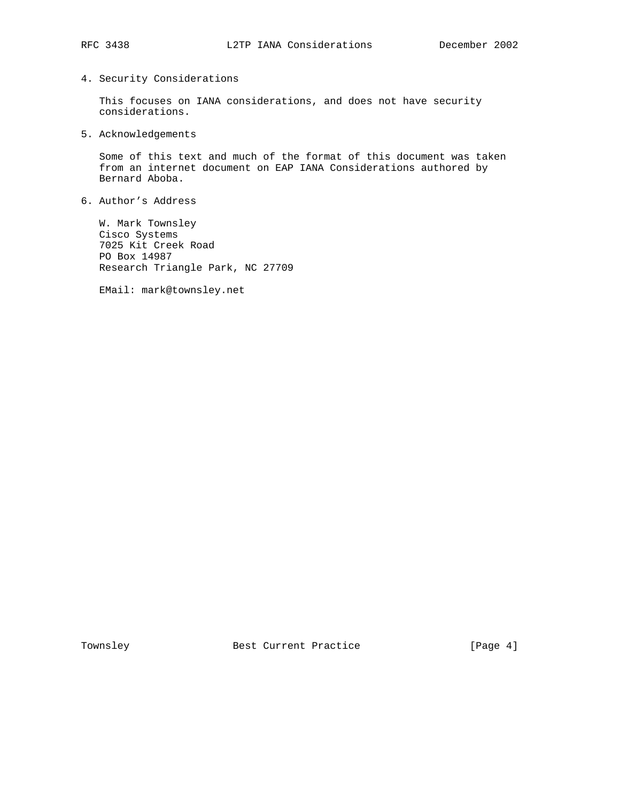4. Security Considerations

 This focuses on IANA considerations, and does not have security considerations.

5. Acknowledgements

 Some of this text and much of the format of this document was taken from an internet document on EAP IANA Considerations authored by Bernard Aboba.

6. Author's Address

 W. Mark Townsley Cisco Systems 7025 Kit Creek Road PO Box 14987 Research Triangle Park, NC 27709

EMail: mark@townsley.net

Townsley Best Current Practice [Page 4]